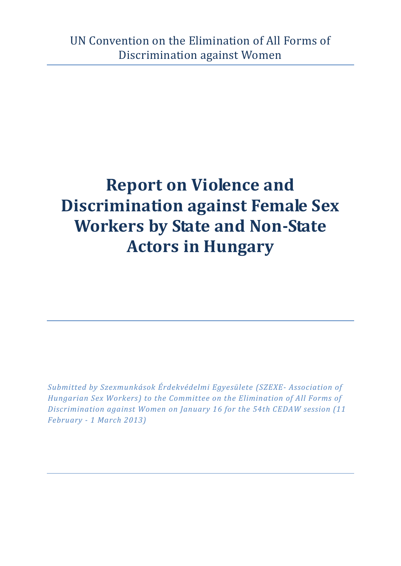# **Report on Violence and Discrimination against Female Sex Workers by State and Non-State Actors in Hungary**

*Submitted by Szexmunkások Érdekvédelmi Egyesülete (SZEXE- Association of Hungarian Sex Workers) to the Committee on the Elimination of All Forms of Discrimination against Women on January 16 for the 54th CEDAW session (11 February - 1 March 2013)*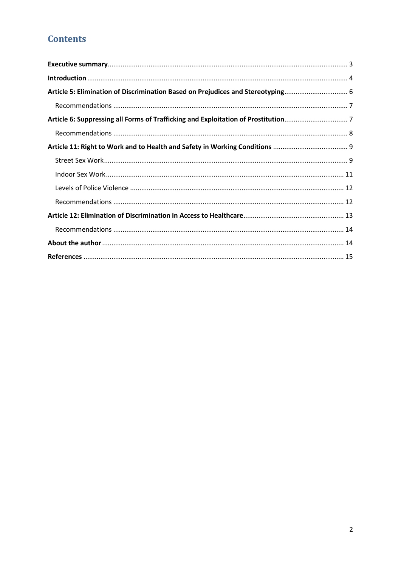# **Contents**

| Article 5: Elimination of Discrimination Based on Prejudices and Stereotyping 6 |  |
|---------------------------------------------------------------------------------|--|
|                                                                                 |  |
|                                                                                 |  |
|                                                                                 |  |
|                                                                                 |  |
|                                                                                 |  |
|                                                                                 |  |
|                                                                                 |  |
|                                                                                 |  |
|                                                                                 |  |
|                                                                                 |  |
|                                                                                 |  |
|                                                                                 |  |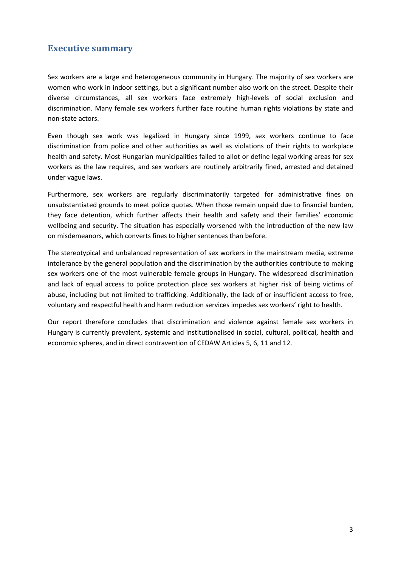## <span id="page-2-0"></span>**Executive summary**

Sex workers are a large and heterogeneous community in Hungary. The majority of sex workers are women who work in indoor settings, but a significant number also work on the street. Despite their diverse circumstances, all sex workers face extremely high-levels of social exclusion and discrimination. Many female sex workers further face routine human rights violations by state and non-state actors.

Even though sex work was legalized in Hungary since 1999, sex workers continue to face discrimination from police and other authorities as well as violations of their rights to workplace health and safety. Most Hungarian municipalities failed to allot or define legal working areas for sex workers as the law requires, and sex workers are routinely arbitrarily fined, arrested and detained under vague laws.

Furthermore, sex workers are regularly discriminatorily targeted for administrative fines on unsubstantiated grounds to meet police quotas. When those remain unpaid due to financial burden, they face detention, which further affects their health and safety and their families' economic wellbeing and security. The situation has especially worsened with the introduction of the new law on misdemeanors, which converts fines to higher sentences than before.

The stereotypical and unbalanced representation of sex workers in the mainstream media, extreme intolerance by the general population and the discrimination by the authorities contribute to making sex workers one of the most vulnerable female groups in Hungary. The widespread discrimination and lack of equal access to police protection place sex workers at higher risk of being victims of abuse, including but not limited to trafficking. Additionally, the lack of or insufficient access to free, voluntary and respectful health and harm reduction services impedes sex workers' right to health.

Our report therefore concludes that discrimination and violence against female sex workers in Hungary is currently prevalent, systemic and institutionalised in social, cultural, political, health and economic spheres, and in direct contravention of CEDAW Articles 5, 6, 11 and 12.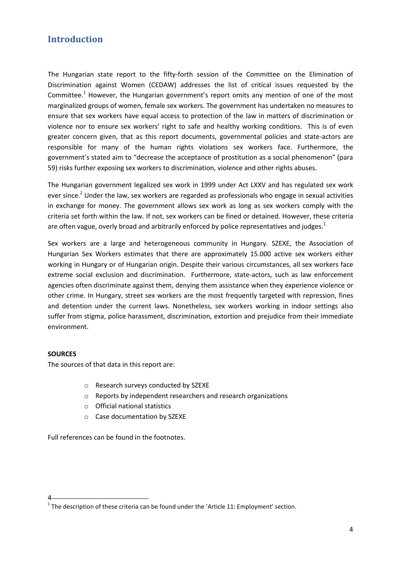## <span id="page-3-0"></span>**Introduction**

The Hungarian state report to the fifty-forth session of the Committee on the Elimination of Discrimination against Women (CEDAW) addresses the list of critical issues requested by the Committee.<sup>1</sup> However, the Hungarian government's report omits any mention of one of the most marginalized groups of women, female sex workers. The government has undertaken no measures to ensure that sex workers have equal access to protection of the law in matters of discrimination or violence nor to ensure sex workers' right to safe and healthy working conditions. This is of even greater concern given, that as this report documents, governmental policies and state-actors are responsible for many of the human rights violations sex workers face. Furthermore, the government's stated aim to "decrease the acceptance of prostitution as a social phenomenon" (para 59) risks further exposing sex workers to discrimination, violence and other rights abuses.

The Hungarian government legalized sex work in 1999 under Act LXXV and has regulated sex work ever since.<sup>2</sup> Under the law, sex workers are regarded as professionals who engage in sexual activities in exchange for money. The government allows sex work as long as sex workers comply with the criteria set forth within the law. If not, sex workers can be fined or detained. However, these criteria are often vague, overly broad and arbitrarily enforced by police representatives and judges.<sup>1</sup>

Sex workers are a large and heterogeneous community in Hungary. SZEXE, the Association of Hungarian Sex Workers estimates that there are approximately 15.000 active sex workers either working in Hungary or of Hungarian origin. Despite their various circumstances, all sex workers face extreme social exclusion and discrimination. Furthermore, state-actors, such as law enforcement agencies often discriminate against them, denying them assistance when they experience violence or other crime. In Hungary, street sex workers are the most frequently targeted with repression, fines and detention under the current laws. Nonetheless, sex workers working in indoor settings also suffer from stigma, police harassment, discrimination, extortion and prejudice from their immediate environment.

#### **SOURCES**

4

The sources of that data in this report are:

- o Research surveys conducted by SZEXE
- o Reports by independent researchers and research organizations
- o Official national statistics
- o Case documentation by SZEXE

Full references can be found in the footnotes.

 $^1$  The description of these criteria can be found under the 'Article 11: Employment' section.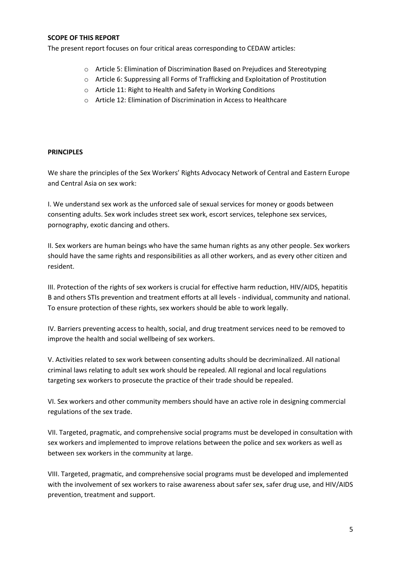#### **SCOPE OF THIS REPORT**

The present report focuses on four critical areas corresponding to CEDAW articles:

- o Article 5: Elimination of Discrimination Based on Prejudices and Stereotyping
- o Article 6: Suppressing all Forms of Trafficking and Exploitation of Prostitution
- o Article 11: Right to Health and Safety in Working Conditions
- o Article 12: Elimination of Discrimination in Access to Healthcare

#### **PRINCIPLES**

We share the principles of the Sex Workers' Rights Advocacy Network of Central and Eastern Europe and Central Asia on sex work:

I. We understand sex work as the unforced sale of sexual services for money or goods between consenting adults. Sex work includes street sex work, escort services, telephone sex services, pornography, exotic dancing and others.

II. Sex workers are human beings who have the same human rights as any other people. Sex workers should have the same rights and responsibilities as all other workers, and as every other citizen and resident.

III. Protection of the rights of sex workers is crucial for effective harm reduction, HIV/AIDS, hepatitis B and others STIs prevention and treatment efforts at all levels - individual, community and national. To ensure protection of these rights, sex workers should be able to work legally.

IV. Barriers preventing access to health, social, and drug treatment services need to be removed to improve the health and social wellbeing of sex workers.

V. Activities related to sex work between consenting adults should be decriminalized. All national criminal laws relating to adult sex work should be repealed. All regional and local regulations targeting sex workers to prosecute the practice of their trade should be repealed.

VI. Sex workers and other community members should have an active role in designing commercial regulations of the sex trade.

VII. Targeted, pragmatic, and comprehensive social programs must be developed in consultation with sex workers and implemented to improve relations between the police and sex workers as well as between sex workers in the community at large.

VIII. Targeted, pragmatic, and comprehensive social programs must be developed and implemented with the involvement of sex workers to raise awareness about safer sex, safer drug use, and HIV/AIDS prevention, treatment and support.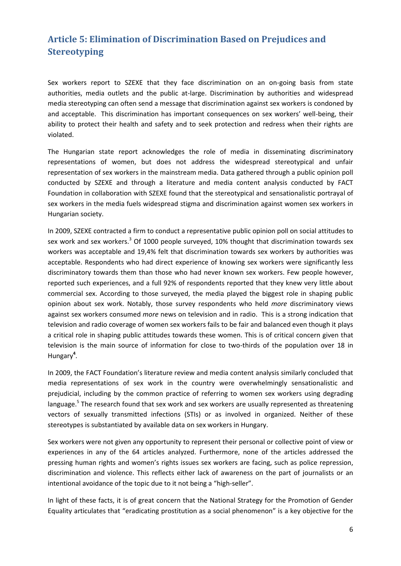# <span id="page-5-0"></span>**Article 5: Elimination of Discrimination Based on Prejudices and Stereotyping**

Sex workers report to SZEXE that they face discrimination on an on-going basis from state authorities, media outlets and the public at-large. Discrimination by authorities and widespread media stereotyping can often send a message that discrimination against sex workers is condoned by and acceptable. This discrimination has important consequences on sex workers' well-being, their ability to protect their health and safety and to seek protection and redress when their rights are violated.

The Hungarian state report acknowledges the role of media in disseminating discriminatory representations of women, but does not address the widespread stereotypical and unfair representation of sex workers in the mainstream media. Data gathered through a public opinion poll conducted by SZEXE and through a literature and media content analysis conducted by FACT Foundation in collaboration with SZEXE found that the stereotypical and sensationalistic portrayal of sex workers in the media fuels widespread stigma and discrimination against women sex workers in Hungarian society.

In 2009, SZEXE contracted a firm to conduct a representative public opinion poll on social attitudes to sex work and sex workers.<sup>3</sup> Of 1000 people surveyed, 10% thought that discrimination towards sex workers was acceptable and 19,4% felt that discrimination towards sex workers by authorities was acceptable. Respondents who had direct experience of knowing sex workers were significantly less discriminatory towards them than those who had never known sex workers. Few people however, reported such experiences, and a full 92% of respondents reported that they knew very little about commercial sex. According to those surveyed, the media played the biggest role in shaping public opinion about sex work. Notably, those survey respondents who held *more* discriminatory views against sex workers consumed *more* news on television and in radio. This is a strong indication that television and radio coverage of women sex workers fails to be fair and balanced even though it plays a critical role in shaping public attitudes towards these women. This is of critical concern given that television is the main source of information for close to two-thirds of the population over 18 in Hungary**<sup>4</sup>** .

In 2009, the FACT Foundation's literature review and media content analysis similarly concluded that media representations of sex work in the country were overwhelmingly sensationalistic and prejudicial, including by the common practice of referring to women sex workers using degrading language.<sup>5</sup> The research found that sex work and sex workers are usually represented as threatening vectors of sexually transmitted infections (STIs) or as involved in organized. Neither of these stereotypes is substantiated by available data on sex workers in Hungary.

Sex workers were not given any opportunity to represent their personal or collective point of view or experiences in any of the 64 articles analyzed. Furthermore, none of the articles addressed the pressing human rights and women's rights issues sex workers are facing, such as police repression, discrimination and violence. This reflects either lack of awareness on the part of journalists or an intentional avoidance of the topic due to it not being a "high-seller".

In light of these facts, it is of great concern that the National Strategy for the Promotion of Gender Equality articulates that "eradicating prostitution as a social phenomenon" is a key objective for the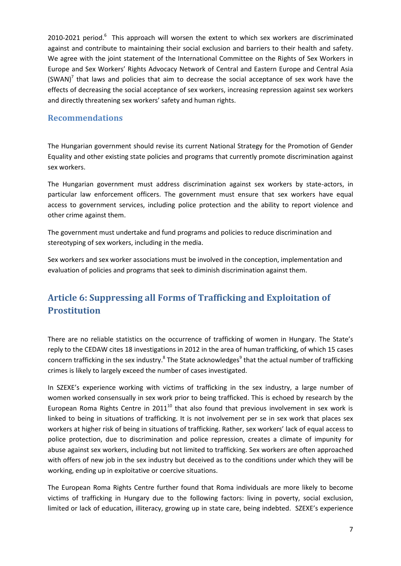2010-2021 period. $6$  This approach will worsen the extent to which sex workers are discriminated against and contribute to maintaining their social exclusion and barriers to their health and safety. We agree with the joint statement of the International Committee on the Rights of Sex Workers in Europe and Sex Workers' Rights Advocacy Network of Central and Eastern Europe and Central Asia (SWAN)<sup>7</sup> that laws and policies that aim to decrease the social acceptance of sex work have the effects of decreasing the social acceptance of sex workers, increasing repression against sex workers and directly threatening sex workers' safety and human rights.

#### <span id="page-6-0"></span>**Recommendations**

The Hungarian government should revise its current National Strategy for the Promotion of Gender Equality and other existing state policies and programs that currently promote discrimination against sex workers.

The Hungarian government must address discrimination against sex workers by state-actors, in particular law enforcement officers. The government must ensure that sex workers have equal access to government services, including police protection and the ability to report violence and other crime against them.

The government must undertake and fund programs and policies to reduce discrimination and stereotyping of sex workers, including in the media.

Sex workers and sex worker associations must be involved in the conception, implementation and evaluation of policies and programs that seek to diminish discrimination against them.

# <span id="page-6-1"></span>**Article 6: Suppressing all Forms of Trafficking and Exploitation of Prostitution**

There are no reliable statistics on the occurrence of trafficking of women in Hungary. The State's reply to the CEDAW cites 18 investigations in 2012 in the area of human trafficking, of which 15 cases concern trafficking in the sex industry.<sup>8</sup> The State acknowledges<sup>9</sup> that the actual number of trafficking crimes is likely to largely exceed the number of cases investigated.

In SZEXE's experience working with victims of trafficking in the sex industry, a large number of women worked consensually in sex work prior to being trafficked. This is echoed by research by the European Roma Rights Centre in 2011<sup>10</sup> that also found that previous involvement in sex work is linked to being in situations of trafficking. It is not involvement per se in sex work that places sex workers at higher risk of being in situations of trafficking. Rather, sex workers' lack of equal access to police protection, due to discrimination and police repression, creates a climate of impunity for abuse against sex workers, including but not limited to trafficking. Sex workers are often approached with offers of new job in the sex industry but deceived as to the conditions under which they will be working, ending up in exploitative or coercive situations.

The European Roma Rights Centre further found that Roma individuals are more likely to become victims of trafficking in Hungary due to the following factors: living in poverty, social exclusion, limited or lack of education, illiteracy, growing up in state care, being indebted. SZEXE's experience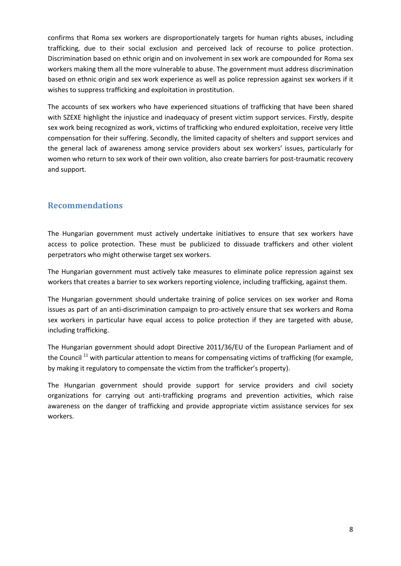confirms that Roma sex workers are disproportionately targets for human rights abuses, including trafficking, due to their social exclusion and perceived lack of recourse to police protection. Discrimination based on ethnic origin and on involvement in sex work are compounded for Roma sex workers making them all the more vulnerable to abuse. The government must address discrimination based on ethnic origin and sex work experience as well as police repression against sex workers if it wishes to suppress trafficking and exploitation in prostitution.

The accounts of sex workers who have experienced situations of trafficking that have been shared with SZEXE highlight the injustice and inadequacy of present victim support services. Firstly, despite sex work being recognized as work, victims of trafficking who endured exploitation, receive very little compensation for their suffering. Secondly, the limited capacity of shelters and support services and the general lack of awareness among service providers about sex workers' issues, particularly for women who return to sex work of their own volition, also create barriers for post-traumatic recovery and support.

## <span id="page-7-0"></span>**Recommendations**

The Hungarian government must actively undertake initiatives to ensure that sex workers have access to police protection. These must be publicized to dissuade traffickers and other violent perpetrators who might otherwise target sex workers.

The Hungarian government must actively take measures to eliminate police repression against sex workers that creates a barrier to sex workers reporting violence, including trafficking, against them.

The Hungarian government should undertake training of police services on sex worker and Roma issues as part of an anti-discrimination campaign to pro-actively ensure that sex workers and Roma sex workers in particular have equal access to police protection if they are targeted with abuse, including trafficking.

The Hungarian government should adopt Directive 2011/36/EU of the European Parliament and of the Council<sup>11</sup> with particular attention to means for compensating victims of trafficking (for example, by making it regulatory to compensate the victim from the trafficker's property).

The Hungarian government should provide support for service providers and civil society organizations for carrying out anti-trafficking programs and prevention activities, which raise awareness on the danger of trafficking and provide appropriate victim assistance services for sex workers.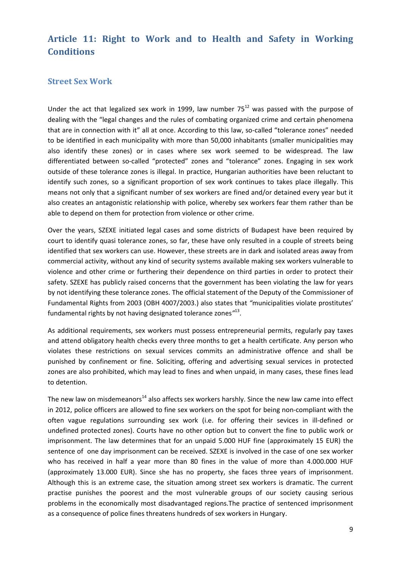## <span id="page-8-0"></span>**Article 11: Right to Work and to Health and Safety in Working Conditions**

#### <span id="page-8-1"></span>**Street Sex Work**

Under the act that legalized sex work in 1999, law number  $75^{12}$  was passed with the purpose of dealing with the "legal changes and the rules of combating organized crime and certain phenomena that are in connection with it" all at once. According to this law, so-called "tolerance zones" needed to be identified in each municipality with more than 50,000 inhabitants (smaller municipalities may also identify these zones) or in cases where sex work seemed to be widespread. The law differentiated between so-called "protected" zones and "tolerance" zones. Engaging in sex work outside of these tolerance zones is illegal. In practice, Hungarian authorities have been reluctant to identify such zones, so a significant proportion of sex work continues to takes place illegally. This means not only that a significant number of sex workers are fined and/or detained every year but it also creates an antagonistic relationship with police, whereby sex workers fear them rather than be able to depend on them for protection from violence or other crime.

Over the years, SZEXE initiated legal cases and some districts of Budapest have been required by court to identify quasi tolerance zones, so far, these have only resulted in a couple of streets being identified that sex workers can use. However, these streets are in dark and isolated areas away from commercial activity, without any kind of security systems available making sex workers vulnerable to violence and other crime or furthering their dependence on third parties in order to protect their safety. SZEXE has publicly raised concerns that the government has been violating the law for years by not identifying these tolerance zones. The official statement of the Deputy of the Commissioner of Fundamental Rights from 2003 (OBH 4007/2003.) also states that *"*municipalities violate prostitutes' fundamental rights by not having designated tolerance zones*"* 13 .

As additional requirements, sex workers must possess [entrepreneurial permits,](http://hvg.hu/english/20070925_prostitutes_entrepreneurial_permits) regularly pay taxes and attend obligatory health checks every three months to get a health certificate. Any person who violates these restrictions on sexual services commits an administrative offence and shall be punished by confinement or fine. Soliciting, offering and advertising sexual services in protected zones are also prohibited, which may lead to fines and when unpaid, in many cases, these fines lead to detention.

The new law on misdemeanors<sup>14</sup> also affects sex workers harshly. Since the new law came into effect in 2012, police officers are allowed to fine sex workers on the spot for being non-compliant with the often vague regulations surrounding sex work (i.e. for offering their sevices in ill-defined or undefined protected zones). Courts have no other option but to convert the fine to public work or imprisonment. The law determines that for an unpaid 5.000 HUF fine (approximately 15 EUR) the sentence of one day imprisonment can be received. SZEXE is involved in the case of one sex worker who has received in half a year more than 80 fines in the value of more than 4.000.000 HUF (approximately 13.000 EUR). Since she has no property, she faces three years of imprisonment. Although this is an extreme case, the situation among street sex workers is dramatic. The current practise punishes the poorest and the most vulnerable groups of our society causing serious problems in the economically most disadvantaged regions.The practice of sentenced imprisonment as a consequence of police fines threatens hundreds of sex workers in Hungary.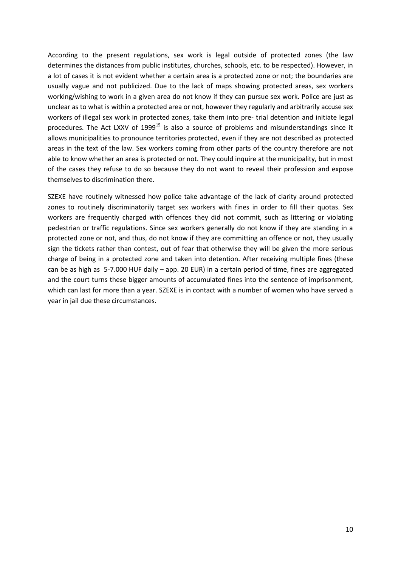According to the present regulations, sex work is legal outside of protected zones (the law determines the distances from public institutes, churches, schools, etc. to be respected). However, in a lot of cases it is not evident whether a certain area is a protected zone or not; the boundaries are usually vague and not publicized. Due to the lack of maps showing protected areas, sex workers working/wishing to work in a given area do not know if they can pursue sex work. Police are just as unclear as to what is within a protected area or not, however they regularly and arbitrarily accuse sex workers of illegal sex work in protected zones, take them into pre- trial detention and initiate legal procedures. The Act LXXV of  $1999^{15}$  is also a source of problems and misunderstandings since it allows municipalities to pronounce territories protected, even if they are not described as protected areas in the text of the law. Sex workers coming from other parts of the country therefore are not able to know whether an area is protected or not. They could inquire at the municipality, but in most of the cases they refuse to do so because they do not want to reveal their profession and expose themselves to discrimination there.

SZEXE have routinely witnessed how police take advantage of the lack of clarity around protected zones to routinely discriminatorily target sex workers with fines in order to fill their quotas. Sex workers are frequently charged with offences they did not commit, such as littering or violating pedestrian or traffic regulations. Since sex workers generally do not know if they are standing in a protected zone or not, and thus, do not know if they are committing an offence or not, they usually sign the tickets rather than contest, out of fear that otherwise they will be given the more serious charge of being in a protected zone and taken into detention. After receiving multiple fines (these can be as high as 5-7.000 HUF daily – app. 20 EUR) in a certain period of time, fines are aggregated and the court turns these bigger amounts of accumulated fines into the sentence of imprisonment, which can last for more than a year. SZEXE is in contact with a number of women who have served a year in jail due these circumstances.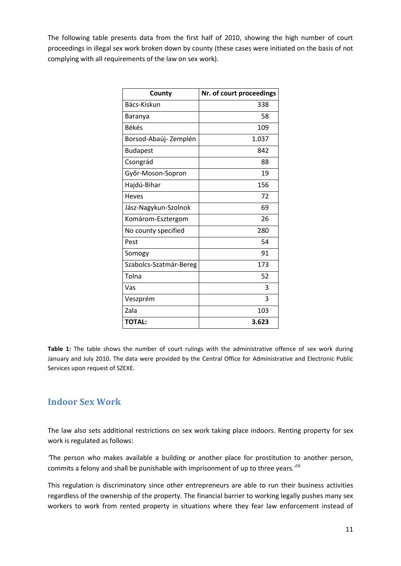The following table presents data from the first half of 2010, showing the high number of court proceedings in illegal sex work broken down by county (these cases were initiated on the basis of not complying with all requirements of the law on sex work).

| County                 | Nr. of court proceedings |
|------------------------|--------------------------|
| Bács-Kiskun            | 338                      |
| Baranya                | 58                       |
| <b>Békés</b>           | 109                      |
| Borsod-Abaúj-Zemplén   | 1.037                    |
| <b>Budapest</b>        | 842                      |
| Csongrád               | 88                       |
| Győr-Moson-Sopron      | 19                       |
| Hajdú-Bihar            | 156                      |
| <b>Heves</b>           | 72                       |
| Jász-Nagykun-Szolnok   | 69                       |
| Komárom-Esztergom      | 26                       |
| No county specified    | 280                      |
| Pest                   | 54                       |
| Somogy                 | 91                       |
| Szabolcs-Szatmár-Bereg | 173                      |
| Tolna                  | 52                       |
| Vas                    | 3                        |
| Veszprém               | 3                        |
| Zala                   | 103                      |
| <b>TOTAL:</b>          | 3.623                    |

Table 1: The table shows the number of court rulings with the administrative offence of sex work during January and July 2010. The data were provided by the Central Office for Administrative and Electronic Public Services upon request of SZEXE.

## <span id="page-10-0"></span>**Indoor Sex Work**

The law also sets additional restrictions on sex work taking place indoors. Renting property for sex work is regulated as follows:

*'*The person who makes available a building or another place for prostitution to another person, commits a felony and shall be punishable with imprisonment of up to three years*.'* 16

This regulation is discriminatory since other entrepreneurs are able to run their business activities regardless of the ownership of the property. The financial barrier to working legally pushes many sex workers to work from rented property in situations where they fear law enforcement instead of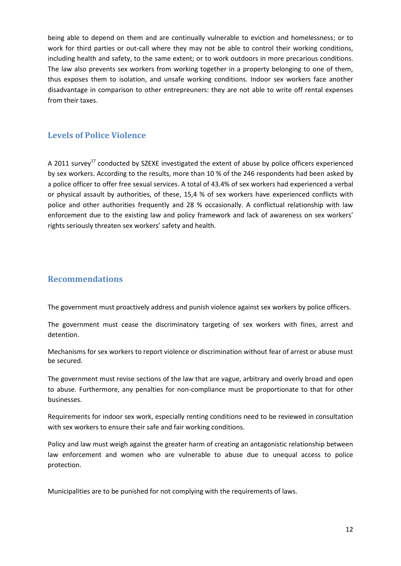being able to depend on them and are continually vulnerable to eviction and homelessness; or to work for third parties or out-call where they may not be able to control their working conditions, including health and safety, to the same extent; or to work outdoors in more precarious conditions. The law also prevents sex workers from working together in a property belonging to one of them, thus exposes them to isolation, and unsafe working conditions. Indoor sex workers face another disadvantage in comparison to other entrepreuners: they are not able to write off rental expenses from their taxes.

#### <span id="page-11-0"></span>**Levels of Police Violence**

A 2011 survey<sup>17</sup> conducted by SZEXE investigated the extent of abuse by police officers experienced by sex workers. According to the results, more than 10 % of the 246 respondents had been asked by a police officer to offer free sexual services. A total of 43.4% of sex workers had experienced a verbal or physical assault by authorities, of these, 15,4 % of sex workers have experienced conflicts with police and other authorities frequently and 28 % occasionally. A conflictual relationship with law enforcement due to the existing law and policy framework and lack of awareness on sex workers' rights seriously threaten sex workers' safety and health.

## <span id="page-11-1"></span>**Recommendations**

The government must proactively address and punish violence against sex workers by police officers.

The government must cease the discriminatory targeting of sex workers with fines, arrest and detention.

Mechanisms for sex workers to report violence or discrimination without fear of arrest or abuse must be secured.

The government must revise sections of the law that are vague, arbitrary and overly broad and open to abuse. Furthermore, any penalties for non-compliance must be proportionate to that for other businesses.

Requirements for indoor sex work, especially renting conditions need to be reviewed in consultation with sex workers to ensure their safe and fair working conditions.

Policy and law must weigh against the greater harm of creating an antagonistic relationship between law enforcement and women who are vulnerable to abuse due to unequal access to police protection.

Municipalities are to be punished for not complying with the requirements of laws.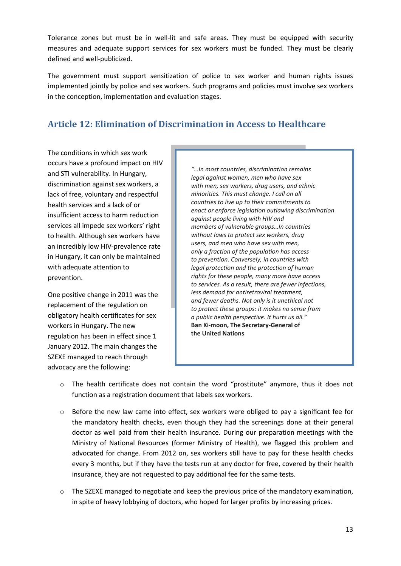Tolerance zones but must be in well-lit and safe areas. They must be equipped with security measures and adequate support services for sex workers must be funded. They must be clearly defined and well-publicized.

The government must support sensitization of police to sex worker and human rights issues implemented jointly by police and sex workers. Such programs and policies must involve sex workers in the conception, implementation and evaluation stages.

## <span id="page-12-0"></span>**Article 12: Elimination of Discrimination in Access to Healthcare**

The conditions in which sex work occurs have a profound impact on HIV and STI vulnerability. In Hungary, discrimination against sex workers, a lack of free, voluntary and respectful health services and a lack of or insufficient access to harm reduction services all impede sex workers' right to health. Although sex workers have an incredibly low HIV-prevalence rate in Hungary, it can only be maintained with adequate attention to prevention.

One positive change in 2011 was the replacement of the regulation on obligatory health certificates for sex workers in Hungary. The new regulation has been in effect since 1 January 2012. The main changes the SZEXE managed to reach through advocacy are the following:

*"…In most countries, discrimination remains legal against women, men who have sex with men, sex workers, drug users, and ethnic minorities. This must change. I call on all countries to live up to their commitments to enact or enforce legislation outlawing discrimination against people living with HIV and members of vulnerable groups…In countries without laws to protect sex workers, drug users, and men who have sex with men, only a fraction of the population has access to prevention. Conversely, in countries with legal protection and the protection of human rights for these people, many more have access to services. As a result, there are fewer infections, less demand for antiretroviral treatment, and fewer deaths. Not only is it unethical not to protect these groups: it makes no sense from a public health perspective. It hurts us all."* **Ban Ki-moon, The Secretary-General of the United Nations**

- $\circ$  The health certificate does not contain the word "prostitute" anymore, thus it does not function as a registration document that labels sex workers.
- $\circ$  Before the new law came into effect, sex workers were obliged to pay a significant fee for the mandatory health checks, even though they had the screenings done at their general doctor as well paid from their health insurance. During our preparation meetings with the Ministry of National Resources (former Ministry of Health), we flagged this problem and advocated for change. From 2012 on, sex workers still have to pay for these health checks every 3 months, but if they have the tests run at any doctor for free, covered by their health insurance, they are not requested to pay additional fee for the same tests.
- $\circ$  The SZEXE managed to negotiate and keep the previous price of the mandatory examination, in spite of heavy lobbying of doctors, who hoped for larger profits by increasing prices.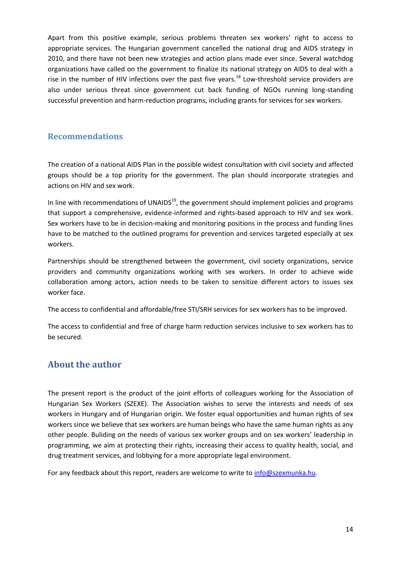Apart from this positive example, serious problems threaten sex workers' right to access to appropriate services. The Hungarian government cancelled the national drug and AIDS strategy in 2010, and there have not been new strategies and action plans made ever since. Several watchdog organizations have called on the government to finalize its national strategy on AIDS to deal with a rise in the number of HIV infections over the past five years.<sup>18</sup> Low-threshold service providers are also under serious threat since government cut back funding of NGOs running long-standing successful prevention and harm-reduction programs, including grants for services for sex workers.

#### <span id="page-13-0"></span>**Recommendations**

The creation of a national AIDS Plan in the possible widest consultation with civil society and affected groups should be a top priority for the government. The plan should incorporate strategies and actions on HIV and sex work.

In line with recommendations of UNAIDS $19$ , the government should implement policies and programs that support a comprehensive, evidence-informed and rights-based approach to HIV and sex work. Sex workers have to be in decision-making and monitoring positions in the process and funding lines have to be matched to the outlined programs for prevention and services targeted especially at sex workers.

Partnerships should be strengthened between the government, civil society organizations, service providers and community organizations working with sex workers. In order to achieve wide collaboration among actors, action needs to be taken to sensitize different actors to issues sex worker face.

The access to confidential and affordable/free STI/SRH services for sex workers has to be improved.

The access to confidential and free of charge harm reduction services inclusive to sex workers has to be secured.

## <span id="page-13-1"></span>**About the author**

The present report is the product of the joint efforts of colleagues working for the Association of Hungarian Sex Workers (SZEXE). The Association wishes to serve the interests and needs of sex workers in Hungary and of Hungarian origin. We foster equal opportunities and human rights of sex workers since we believe that sex workers are human beings who have the same human rights as any other people. Buliding on the needs of various sex worker groups and on sex workers' leadership in programming, we aim at protecting their rights, increasing their access to quality health, social, and drug treatment services, and lobbying for a more appropriate legal environment.

For any feedback about this report, readers are welcome to write to [info@szexmunka.hu.](mailto:info@szexmunka.hu)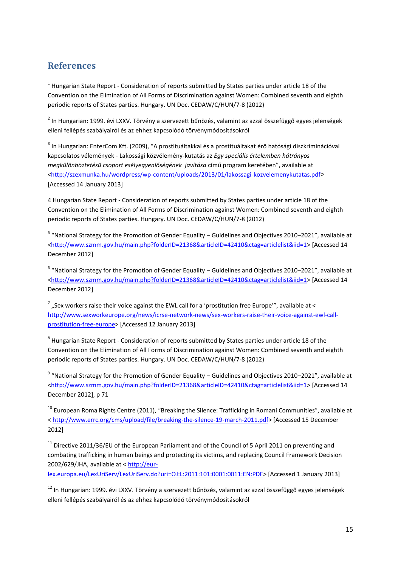## <span id="page-14-0"></span>**References**

 $\overline{a}$  $^1$  Hungarian State Report - Consideration of reports submitted by States parties under article 18 of the Convention on the Elimination of All Forms of Discrimination against Women: Combined seventh and eighth periodic reports of States parties. Hungary. UN Doc. CEDAW/C/HUN/7-8 (2012)

<sup>2</sup> In Hungarian: 1999. évi LXXV. Törvény a szervezett bűnözés, valamint az azzal összefüggő egyes jelenségek elleni fellépés szabályairól és az ehhez kapcsolódó törvénymódosításokról

 $^3$  In Hungarian: EnterCom Kft. (2009), "A prostituáltakkal és a prostituáltakat érő hatósági diszkriminációval kapcsolatos vélemények - Lakossági közvélemény-kutatás az *Egy speciális értelemben hátrányos megkülönböztetésű csoport esélyegyenlőségének javítása* című program keretében", available at [<http://szexmunka.hu/wordpress/wp-content/uploads/2013/01/lakossagi-kozvelemenykutatas.pdf](http://szexmunka.hu/wordpress/wp-content/uploads/2013/01/lakossagi-kozvelemenykutatas.pdf)> [Accessed 14 January 2013]

4 Hungarian State Report - Consideration of reports submitted by States parties under article 18 of the Convention on the Elimination of All Forms of Discrimination against Women: Combined seventh and eighth periodic reports of States parties. Hungary. UN Doc. CEDAW/C/HUN/7-8 (2012)

<sup>5</sup> "National Strategy for the Promotion of Gender Equality – Guidelines and Objectives 2010–2021", available at [<http://www.szmm.gov.hu/main.php?folderID=21368&articleID=42410&ctag=articlelist&iid=1>](http://www.szmm.gov.hu/main.php?folderID=21368&articleID=42410&ctag=articlelist&iid=1) [Accessed 14 December 2012]

 $^6$  "National Strategy for the Promotion of Gender Equality – Guidelines and Objectives 2010–2021", available at <http://www.szmm.gov.hu/main.php?folderID=21368&articleID=42410&ctag=articleIist&iid=1> [Accessed 14 December 2012]

 $^7$  "Sex workers raise their voice against the EWL call for a 'prostitution free Europe'", available at < [http://www.sexworkeurope.org/news/icrse-network-news/sex-workers-raise-their-voice-against-ewl-call](http://www.sexworkeurope.org/news/icrse-network-news/sex-workers-raise-their-voice-against-ewl-call-prostitution-free-europe)[prostitution-free-europe>](http://www.sexworkeurope.org/news/icrse-network-news/sex-workers-raise-their-voice-against-ewl-call-prostitution-free-europe) [Accessed 12 January 2013]

 $^8$  Hungarian State Report - Consideration of reports submitted by States parties under article 18 of the Convention on the Elimination of All Forms of Discrimination against Women: Combined seventh and eighth periodic reports of States parties. Hungary. UN Doc. CEDAW/C/HUN/7-8 (2012)

 $^9$  "National Strategy for the Promotion of Gender Equality – Guidelines and Objectives 2010–2021", available at [<http://www.szmm.gov.hu/main.php?folderID=21368&articleID=42410&ctag=articlelist&iid=1>](http://www.szmm.gov.hu/main.php?folderID=21368&articleID=42410&ctag=articlelist&iid=1) [Accessed 14 December 2012], p 71

<sup>10</sup> European Roma Rights Centre (2011), "Breaking the Silence: Trafficking in Romani Communities", available at < [http://www.errc.org/cms/upload/file/breaking-the-silence-19-march-2011.pdf>](http://www.errc.org/cms/upload/file/breaking-the-silence-19-march-2011.pdf) [Accessed 15 December 2012]

 $11$  Directive 2011/36/EU of the European Parliament and of the Council of 5 April 2011 on preventing and combating trafficking in human beings and protecting its victims, and replacing Council Framework Decision 2002/629/JHA, available at < [http://eur-](http://eur-lex.europa.eu/LexUriServ/LexUriServ.do?uri=OJ:L:2011:101:0001:0011:EN:PDF)

[lex.europa.eu/LexUriServ/LexUriServ.do?uri=OJ:L:2011:101:0001:0011:EN:PDF>](http://eur-lex.europa.eu/LexUriServ/LexUriServ.do?uri=OJ:L:2011:101:0001:0011:EN:PDF) [Accessed 1 January 2013]

<sup>12</sup> In Hungarian: 1999. évi LXXV. Törvény a szervezett bűnözés, valamint az azzal összefüggő egyes jelenségek elleni fellépés szabályairól és az ehhez kapcsolódó törvénymódosításokról